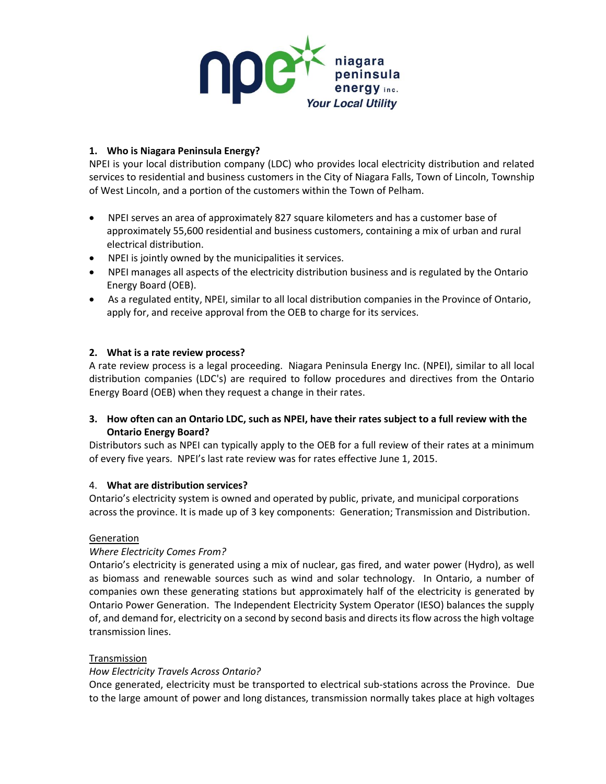

## **1. Who is Niagara Peninsula Energy?**

NPEI is your local distribution company (LDC) who provides local electricity distribution and related services to residential and business customers in the City of Niagara Falls, Town of Lincoln, Township of West Lincoln, and a portion of the customers within the Town of Pelham.

- NPEI serves an area of approximately 827 square kilometers and has a customer base of approximately 55,600 residential and business customers, containing a mix of urban and rural electrical distribution.
- NPEI is jointly owned by the municipalities it services.
- NPEI manages all aspects of the electricity distribution business and is regulated by the Ontario Energy Board (OEB).
- As a regulated entity, NPEI, similar to all local distribution companies in the Province of Ontario, apply for, and receive approval from the OEB to charge for its services.

## **2. What is a rate review process?**

A rate review process is a legal proceeding. Niagara Peninsula Energy Inc. (NPEI), similar to all local distribution companies (LDC's) are required to follow procedures and directives from the Ontario Energy Board (OEB) when they request a change in their rates.

# **3. How often can an Ontario LDC, such as NPEI, have their rates subject to a full review with the Ontario Energy Board?**

Distributors such as NPEI can typically apply to the OEB for a full review of their rates at a minimum of every five years. NPEI's last rate review was for rates effective June 1, 2015.

## 4. **What are distribution services?**

Ontario's electricity system is owned and operated by public, private, and municipal corporations across the province. It is made up of 3 key components: Generation; Transmission and Distribution.

## **Generation**

## *Where Electricity Comes From?*

Ontario's electricity is generated using a mix of nuclear, gas fired, and water power (Hydro), as well as biomass and renewable sources such as wind and solar technology. In Ontario, a number of companies own these generating stations but approximately half of the electricity is generated by Ontario Power Generation. The Independent Electricity System Operator (IESO) balances the supply of, and demand for, electricity on a second by second basis and directs its flow across the high voltage transmission lines.

## Transmission

## *How Electricity Travels Across Ontario?*

Once generated, electricity must be transported to electrical sub-stations across the Province. Due to the large amount of power and long distances, transmission normally takes place at high voltages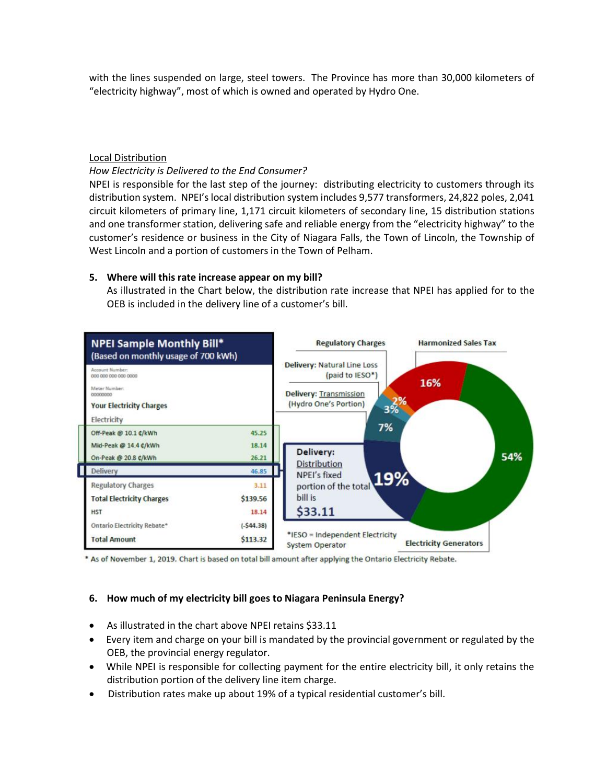with the lines suspended on large, steel towers. The Province has more than 30,000 kilometers of "electricity highway", most of which is owned and operated by Hydro One.

#### Local Distribution

#### *How Electricity is Delivered to the End Consumer?*

NPEI is responsible for the last step of the journey: distributing electricity to customers through its distribution system. NPEI's local distribution system includes 9,577 transformers, 24,822 poles, 2,041 circuit kilometers of primary line, 1,171 circuit kilometers of secondary line, 15 distribution stations and one transformer station, delivering safe and reliable energy from the "electricity highway" to the customer's residence or business in the City of Niagara Falls, the Town of Lincoln, the Township of West Lincoln and a portion of customers in the Town of Pelham.

#### **5. Where will this rate increase appear on my bill?**

As illustrated in the Chart below, the distribution rate increase that NPEI has applied for to the OEB is included in the delivery line of a customer's bill.



\* As of November 1, 2019. Chart is based on total bill amount after applying the Ontario Electricity Rebate.

## **6. How much of my electricity bill goes to Niagara Peninsula Energy?**

- As illustrated in the chart above NPEI retains \$33.11
- Every item and charge on your bill is mandated by the provincial government or regulated by the OEB, the provincial energy regulator.
- While NPEI is responsible for collecting payment for the entire electricity bill, it only retains the distribution portion of the delivery line item charge.
- Distribution rates make up about 19% of a typical residential customer's bill.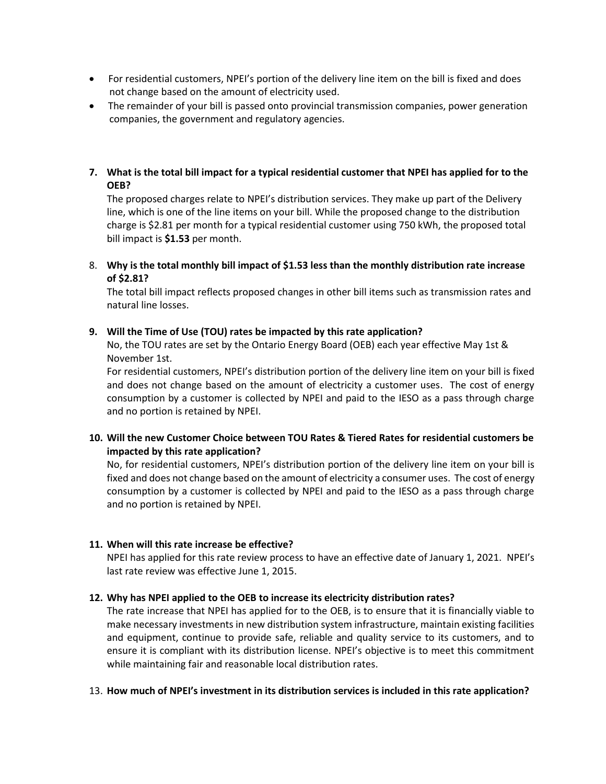- For residential customers, NPEI's portion of the delivery line item on the bill is fixed and does not change based on the amount of electricity used.
- The remainder of your bill is passed onto provincial transmission companies, power generation companies, the government and regulatory agencies.

## **7. What is the total bill impact for a typical residential customer that NPEI has applied for to the OEB?**

The proposed charges relate to NPEI's distribution services. They make up part of the Delivery line, which is one of the line items on your bill. While the proposed change to the distribution charge is \$2.81 per month for a typical residential customer using 750 kWh, the proposed total bill impact is **\$1.53** per month.

8. **Why is the total monthly bill impact of \$1.53 less than the monthly distribution rate increase of \$2.81?**

The total bill impact reflects proposed changes in other bill items such as transmission rates and natural line losses.

#### **9. Will the Time of Use (TOU) rates be impacted by this rate application?**

No, the TOU rates are set by the Ontario Energy Board (OEB) each year effective May 1st & November 1st.

For residential customers, NPEI's distribution portion of the delivery line item on your bill is fixed and does not change based on the amount of electricity a customer uses. The cost of energy consumption by a customer is collected by NPEI and paid to the IESO as a pass through charge and no portion is retained by NPEI.

## **10. Will the new Customer Choice between TOU Rates & Tiered Rates for residential customers be impacted by this rate application?**

No, for residential customers, NPEI's distribution portion of the delivery line item on your bill is fixed and does not change based on the amount of electricity a consumer uses. The cost of energy consumption by a customer is collected by NPEI and paid to the IESO as a pass through charge and no portion is retained by NPEI.

## **11. When will this rate increase be effective?**

NPEI has applied for this rate review process to have an effective date of January 1, 2021. NPEI's last rate review was effective June 1, 2015.

#### **12. Why has NPEI applied to the OEB to increase its electricity distribution rates?**

The rate increase that NPEI has applied for to the OEB, is to ensure that it is financially viable to make necessary investments in new distribution system infrastructure, maintain existing facilities and equipment, continue to provide safe, reliable and quality service to its customers, and to ensure it is compliant with its distribution license. NPEI's objective is to meet this commitment while maintaining fair and reasonable local distribution rates.

#### 13. **How much of NPEI's investment in its distribution services is included in this rate application?**